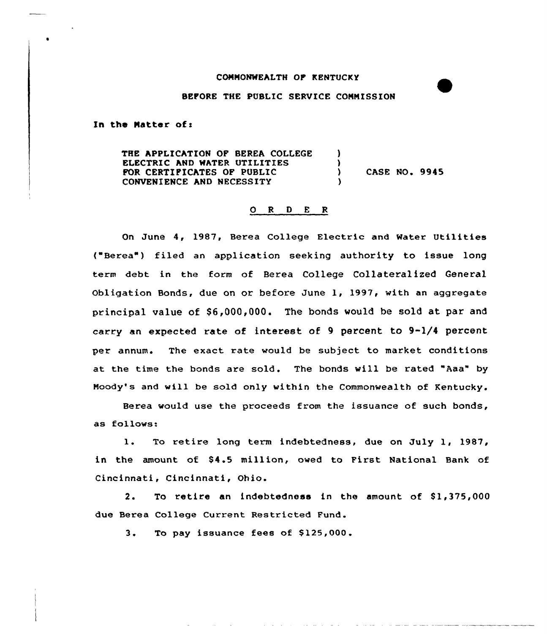## CONNONMEALTH OF KENTUCKY

## BEFORE THE PUBLIC SERVICE CONNISSION

In the Matter of:

THE APPLICATION OF BEREA COLLEGE ELECTRIC AND MATER UTILITIES FOR CERTIFICATES OP PUBLIC CONVENIENCE AND NECESSITY 3  $\frac{1}{2}$ ) CASE NO. 9945 )

## 0 <sup>R</sup> <sup>D</sup> E <sup>R</sup>

On June 4, 1987, Berea College Electric and Water Utilities ("Berea") filed an application seeking authority to issue long term debt in the form of Berea College Collateralized General Obligation Bonds, due on or before June 1, 1997, vith an aggregate principal value of  $$6,000,000$ . The bonds would be sold at par and carry an expected rate of interest of 9 percent to 9-1/4 percent per annum. The exact rate would be subject to market conditions at the time the bonds are sold. The bonds will be rated "Aaa" by Noody's and will be sold only within the Commonwealth of Kentucky.

Berea would use the proceeds from the issuance of such bonds, as follows:

1. To retire long term indebtedness, due on July 1, 1987, in the amount of \$4.5 million, owed to First National Bank of Cincinnati, Cincinnati, Ohio.

2. To retire an indebtedness in the amount of \$1,375,000 due Berea College Current Restricted Fund.

3. To pay issuance fees of \$125,000.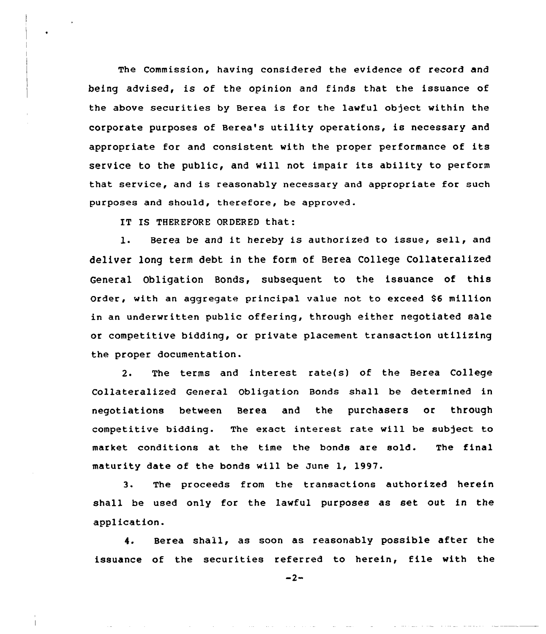The Commission, having considered the evidence of record and being advised, is of the opinion and finds that the issuance of the above securities by Berea is for the lawful object within the corporate purposes of Berea's utility operations, is necessary and appropriate for and consistent with the proper performance of its service to the public, and will not impair its ability to perform that service, and is reasonably necessary and appropriate for such purposes and should, therefore, be approved.

IT IS THEREFORE ORDERED that:

l. Berea be and it hereby is authorized to issue, sell, and deliver long term debt in the form of Berea College Collateralized General Obligation Bonds, subsequent to the issuance of this order, with an aggregate principal value not to exceed \$6 million in an underwritten public offering, through either negotiated sale or competitive bidding, or private placement transaction utilizing the proper documentation.

2. The terms and interest rate(s) of the Berea College Collateralized General Obligation Bonds shall be determined in negotiations between Berea and the purchasers or through competitive bidding. The exact interest rate will be subject to market conditions at the time the bonds are sold. The final maturity date of the bonds will be June 1, 1997.

3. The proceeds from the transactions authorized herein shall be used only for the lawful purposes as set out in the application.

4. Berea shall, as soon as reasonably possible after the issuance of the securities referred to herein, file with the

 $-2-$